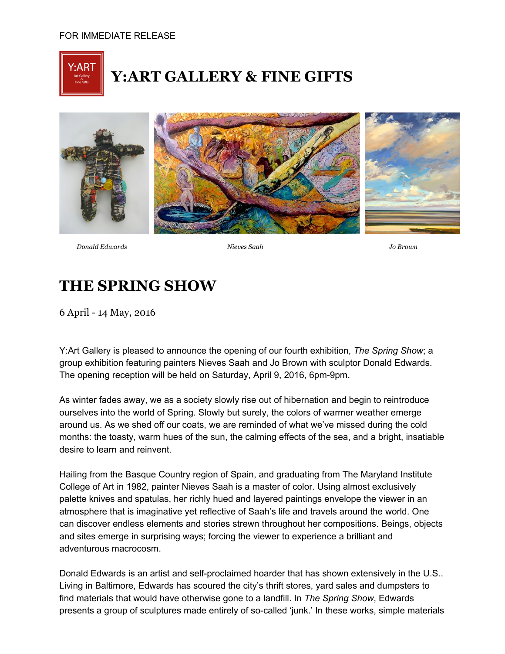

## **Y:ART GALLERY & FINE GIFTS**



*Donald Edwards Nieves Saah Jo Brown*

## **THE SPRING SHOW**

6 April 14 May, 2016

Y:Art Gallery is pleased to announce the opening of our fourth exhibition, *The Spring Show*; a group exhibition featuring painters Nieves Saah and Jo Brown with sculptor Donald Edwards. The opening reception will be held on Saturday, April 9, 2016, 6pm-9pm.

As winter fades away, we as a society slowly rise out of hibernation and begin to reintroduce ourselves into the world of Spring. Slowly but surely, the colors of warmer weather emerge around us. As we shed off our coats, we are reminded of what we've missed during the cold months: the toasty, warm hues of the sun, the calming effects of the sea, and a bright, insatiable desire to learn and reinvent.

Hailing from the Basque Country region of Spain, and graduating from The Maryland Institute College of Art in 1982, painter Nieves Saah is a master of color. Using almost exclusively palette knives and spatulas, her richly hued and layered paintings envelope the viewer in an atmosphere that is imaginative yet reflective of Saah's life and travels around the world. One can discover endless elements and stories strewn throughout her compositions. Beings, objects and sites emerge in surprising ways; forcing the viewer to experience a brilliant and adventurous macrocosm.

Donald Edwards is an artist and self-proclaimed hoarder that has shown extensively in the U.S.. Living in Baltimore, Edwards has scoured the city's thrift stores, yard sales and dumpsters to find materials that would have otherwise gone to a landfill. In *The Spring Show*, Edwards presents a group of sculptures made entirely of so-called 'junk.' In these works, simple materials